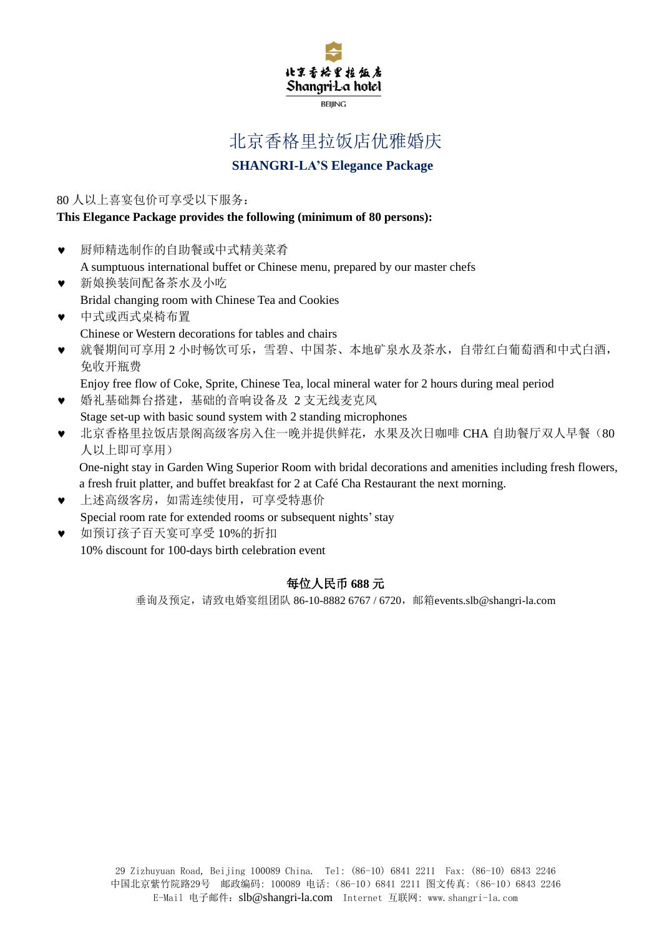

# 北京香格里拉饭店优雅婚庆

# **SHANGRI-LA'S Elegance Package**

80 人以上喜宴包价可享受以下服务:

#### **This Elegance Package provides the following (minimum of 80 persons):**

- 厨师精选制作的自助餐或中式精美菜肴 A sumptuous international buffet or Chinese menu, prepared by our master chefs
- 新娘换装间配备茶水及小吃 Bridal changing room with Chinese Tea and Cookies
- 中式或西式桌椅布置 Chinese or Western decorations for tables and chairs
- 就餐期间可享用 2 小时畅饮可乐,雪碧、中国茶、本地矿泉水及茶水,自带红白葡萄酒和中式白酒, 免收开瓶费
	- Enjoy free flow of Coke, Sprite, Chinese Tea, local mineral water for 2 hours during meal period
- 婚礼基础舞台搭建,基础的音响设备及 2 支无线麦克风 Stage set-up with basic sound system with 2 standing microphones
- 北京香格里拉饭店景阁高级客房入住一晚并提供鲜花,水果及次日咖啡 CHA 自助餐厅双人早餐(80 人以上即可享用)

One-night stay in Garden Wing Superior Room with bridal decorations and amenities including fresh flowers, a fresh fruit platter, and buffet breakfast for 2 at Café Cha Restaurant the next morning.

- 上述高级客房,如需连续使用,可享受特惠价 Special room rate for extended rooms or subsequent nights' stay
- 如预订孩子百天宴可享受 10%的折扣 10% discount for 100-days birth celebration event

## 每位人民币 **688** 元

垂询及预定,请致电婚宴组团队 86-10-8882 6767 / 6720,邮箱[events.slb@shangri-la.com](mailto:events.slb@shangri-la.com)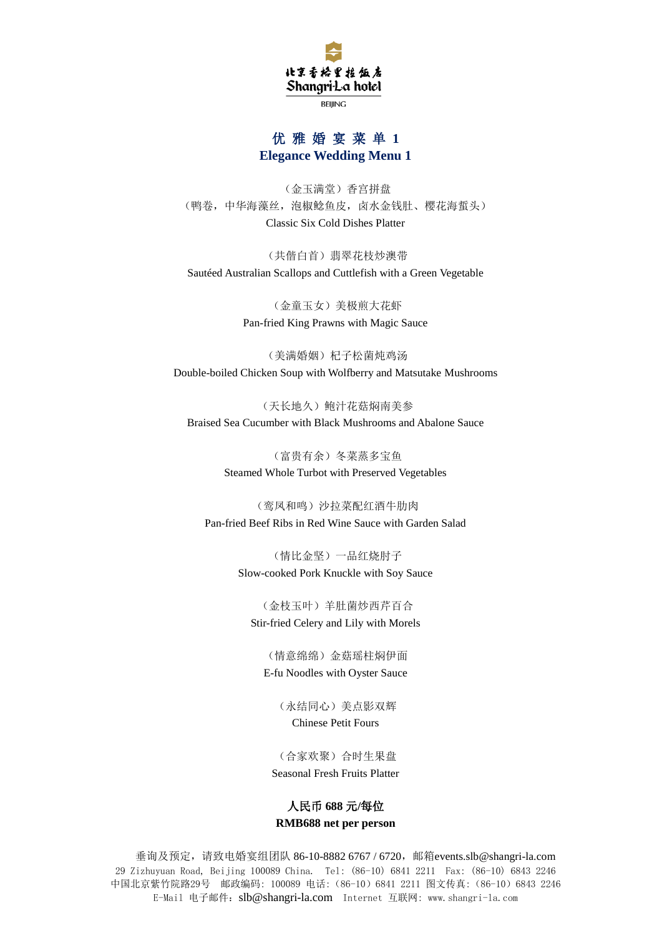

**BEIJING** 

## 优 雅 婚 宴 菜 单 **1 Elegance Wedding Menu 1**

(金玉满堂)香宫拼盘 (鸭卷,中华海藻丝,泡椒鲶鱼皮,卤水金钱肚、樱花海蜇头) Classic Six Cold Dishes Platter

(共偕白首)翡翠花枝炒澳带 Sautéed Australian Scallops and Cuttlefish with a Green Vegetable

> (金童玉女)美极煎大花虾 Pan-fried King Prawns with Magic Sauce

(美满婚姻)杞子松菌炖鸡汤 Double-boiled Chicken Soup with Wolfberry and Matsutake Mushrooms

(天长地久)鲍汁花菇焖南美参 Braised Sea Cucumber with Black Mushrooms and Abalone Sauce

> (富贵有余)冬菜蒸多宝鱼 Steamed Whole Turbot with Preserved Vegetables

(鸾凤和鸣)沙拉菜配红酒牛肋肉 Pan-fried Beef Ribs in Red Wine Sauce with Garden Salad

> (情比金坚)一品红烧肘子 Slow-cooked Pork Knuckle with Soy Sauce

(金枝玉叶)羊肚菌炒西芹百合 Stir-fried Celery and Lily with Morels

(情意绵绵)金菇瑶柱焖伊面 E-fu Noodles with Oyster Sauce

> (永结同心)美点影双辉 Chinese Petit Fours

(合家欢聚)合时生果盘 Seasonal Fresh Fruits Platter

## 人民币 **688** 元**/**每位 **RMB688 net per person**

29 Zizhuyuan Road, Beijing 100089 China. Tel: (86-10) 6841 2211 Fax: (86-10) 6843 2246 中国北京紫竹院路29号 邮政编码: 100089 电话:(86-10)6841 2211 图文传真:(86-10)6843 2246 E-Mail 电子邮件:[slb@shangri-la.com](mailto:slb@shangri-la.com) Internet 互联网: www.shangri-la.com 垂询及预定, 请致电婚宴组团队 86-10-8882 6767 / 6720, 邮箱[events.slb@shangri-la.com](mailto:events.slb@shangri-la.com)